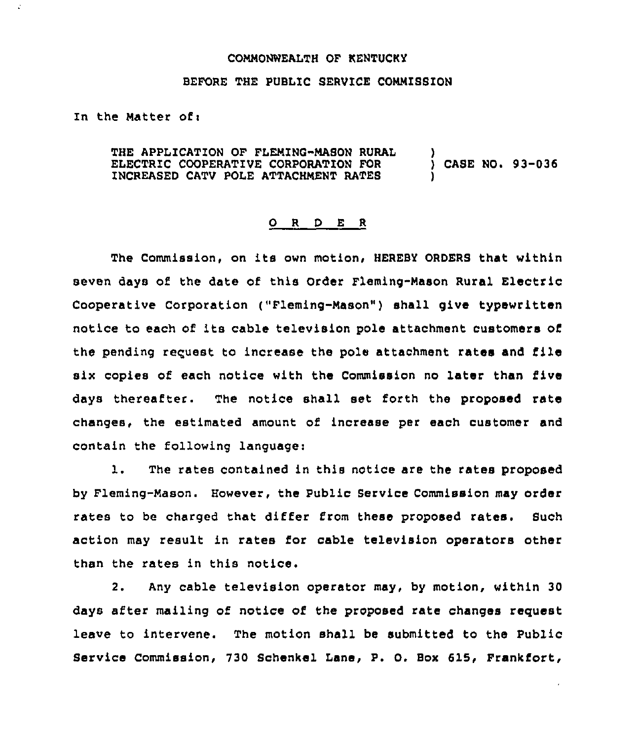## COMMONWEALTH OF KENTUCKY

## BEFORE THE PUBLIC SERVICE COMMISSION

In the Matter ofi

THE APPLICATION OF FLEMING-MASON RURAL ELECTRIC COOPERATIVE CORPORATION FOR INCREASED CATV POLE ATTACHMENT RATES ) ) CASE NO. 93-036 )

## 0 <sup>R</sup> <sup>D</sup> E <sup>R</sup>

The Commission, on its own motion, HEREBY ORDERS that within seven days of the date of this Order Fleming-Mason Rural Electric Cooperative Corporation ("Fleming-Mason" ) shall give typewritten notice to each of its cable television pole attachment customers of the pending request to increase the pole attachment rates and file six copies of each notice with the Commission no later than five days thereafter. The notice shall set forth the proposed rate changes, the estimated amount of increase per each customer and contain the following language:

1. The rates contained in this notice are the rates proposed by Fleming-Mason. However, the Public Service Commission may order rates to be charged that differ from these proposed rates. Such action may result in rates for cable television operators other than the rates in this notice.

2. Any cable television operator may, by motion, within 30 days after mailing of notice of the proposed rate changes request leave to intervene. The motion shall be submitted to the Public Service Commission, 730 Schenkel Lane, P. O. Box 615, Frankfort,